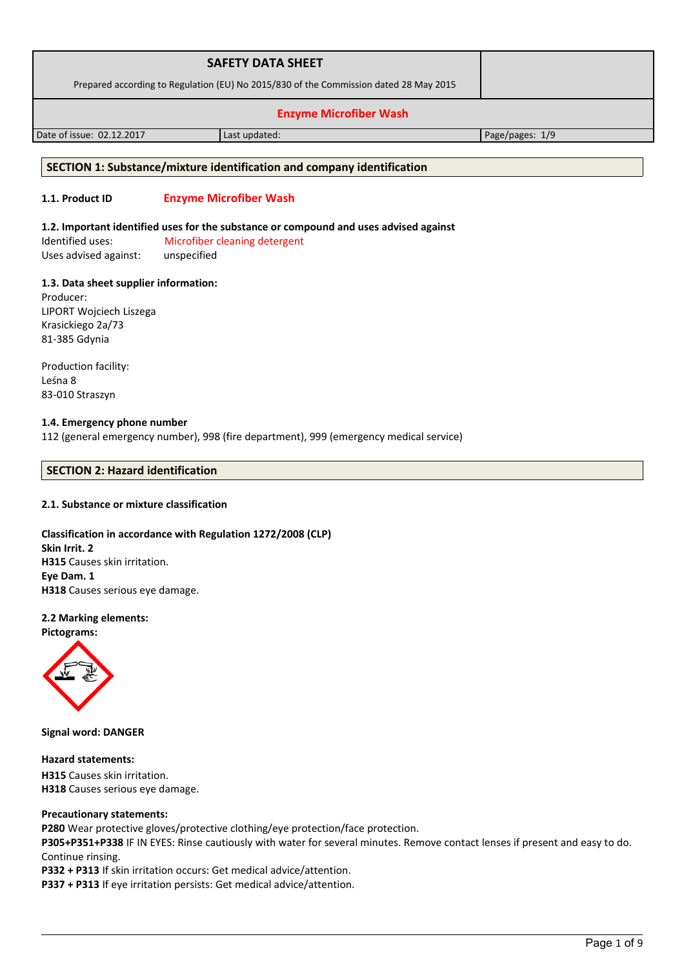|                                                                                       | <b>SAFETY DATA SHEET</b> |                   |
|---------------------------------------------------------------------------------------|--------------------------|-------------------|
| Prepared according to Regulation (EU) No 2015/830 of the Commission dated 28 May 2015 |                          |                   |
| <b>Enzyme Microfiber Wash</b>                                                         |                          |                   |
| Date of issue: 02.12.2017                                                             | Last updated:            | Page/pages: $1/9$ |

### **SECTION 1: Substance/mixture identification and company identification**

# **1.1. Product ID Enzyme Microfiber Wash**

### **1.2. Important identified uses for the substance or compound and uses advised against**

Identified uses: Microfiber cleaning detergent Uses advised against: unspecified

### **1.3. Data sheet supplier information:**

Producer: LIPORT Wojciech Liszega Krasickiego 2a/73 81-385 Gdynia

Production facility: Leśna 8 83-010 Straszyn

## **1.4. Emergency phone number**

112 (general emergency number), 998 (fire department), 999 (emergency medical service)

# **SECTION 2: Hazard identification**

### **2.1. Substance or mixture classification**

# **Classification in accordance with Regulation 1272/2008 (CLP) Skin Irrit. 2 H315** Causes skin irritation. **Eye Dam. 1 H318** Causes serious eye damage.

# **2.2 Marking elements:**

**Pictograms:**



**Signal word: DANGER**

### **Hazard statements:**

**H315** Causes skin irritation. **H318** Causes serious eye damage.

### **Precautionary statements:**

**P280** Wear protective gloves/protective clothing/eye protection/face protection.

**P305+P351+P338** IF IN EYES: Rinse cautiously with water for several minutes. Remove contact lenses if present and easy to do. Continue rinsing.

**P332 + P313** If skin irritation occurs: Get medical advice/attention.

**P337 + P313** If eye irritation persists: Get medical advice/attention.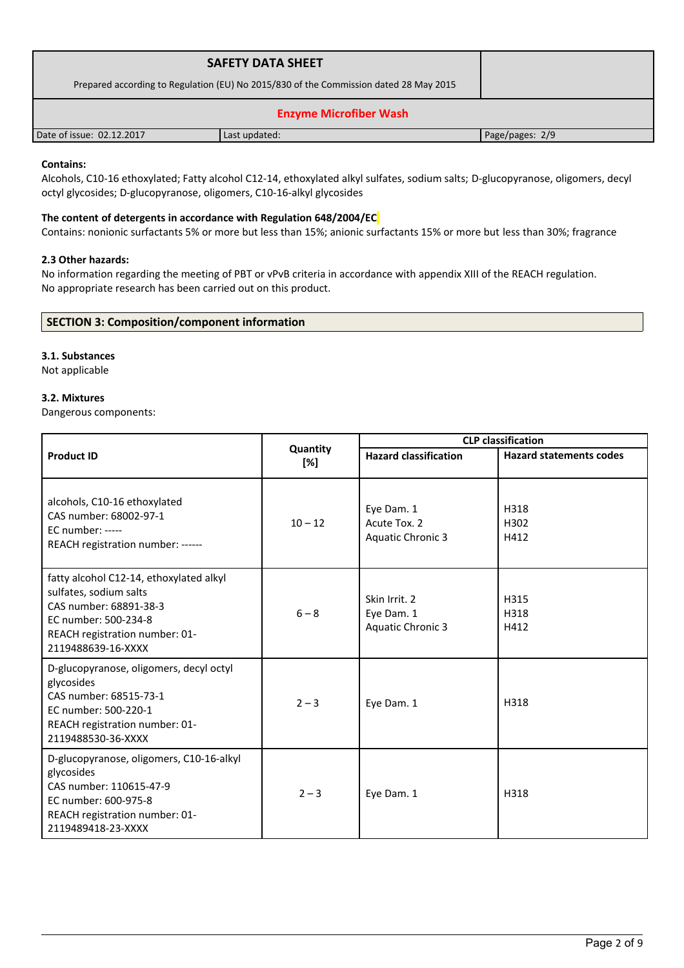| <b>SAFETY DATA SHEET</b>                                                              |               |                 |  |
|---------------------------------------------------------------------------------------|---------------|-----------------|--|
| Prepared according to Regulation (EU) No 2015/830 of the Commission dated 28 May 2015 |               |                 |  |
| <b>Enzyme Microfiber Wash</b>                                                         |               |                 |  |
| Date of issue: 02.12.2017                                                             | Last updated: | Page/pages: 2/9 |  |

# **Contains:**

Alcohols, C10-16 ethoxylated; Fatty alcohol C12-14, ethoxylated alkyl sulfates, sodium salts; D-glucopyranose, oligomers, decyl octyl glycosides; D-glucopyranose, oligomers, C10-16-alkyl glycosides

# **The content of detergents in accordance with Regulation 648/2004/EC**

Contains: nonionic surfactants 5% or more but less than 15%; anionic surfactants 15% or more but less than 30%; fragrance

### **2.3 Other hazards:**

No information regarding the meeting of PBT or vPvB criteria in accordance with appendix XIII of the REACH regulation. No appropriate research has been carried out on this product.

# **SECTION 3: Composition/component information**

# **3.1. Substances**

Not applicable

# **3.2. Mixtures**

Dangerous components:

|                                                                                                                                                                             |                 | <b>CLP</b> classification                               |                                |
|-----------------------------------------------------------------------------------------------------------------------------------------------------------------------------|-----------------|---------------------------------------------------------|--------------------------------|
| <b>Product ID</b>                                                                                                                                                           | Quantity<br>[%] | <b>Hazard classification</b>                            | <b>Hazard statements codes</b> |
| alcohols, C10-16 ethoxylated<br>CAS number: 68002-97-1<br>EC number: -----<br>REACH registration number: ------                                                             | $10 - 12$       | Eye Dam. 1<br>Acute Tox. 2<br><b>Aquatic Chronic 3</b>  | H318<br>H302<br>H412           |
| fatty alcohol C12-14, ethoxylated alkyl<br>sulfates, sodium salts<br>CAS number: 68891-38-3<br>EC number: 500-234-8<br>REACH registration number: 01-<br>2119488639-16-XXXX | $6 - 8$         | Skin Irrit. 2<br>Eye Dam. 1<br><b>Aquatic Chronic 3</b> | H315<br>H318<br>H412           |
| D-glucopyranose, oligomers, decyl octyl<br>glycosides<br>CAS number: 68515-73-1<br>EC number: 500-220-1<br>REACH registration number: 01-<br>2119488530-36-XXXX             | $2 - 3$         | Eye Dam. 1                                              | H318                           |
| D-glucopyranose, oligomers, C10-16-alkyl<br>glycosides<br>CAS number: 110615-47-9<br>EC number: 600-975-8<br>REACH registration number: 01-<br>2119489418-23-XXXX           | $2 - 3$         | Eye Dam. 1                                              | H318                           |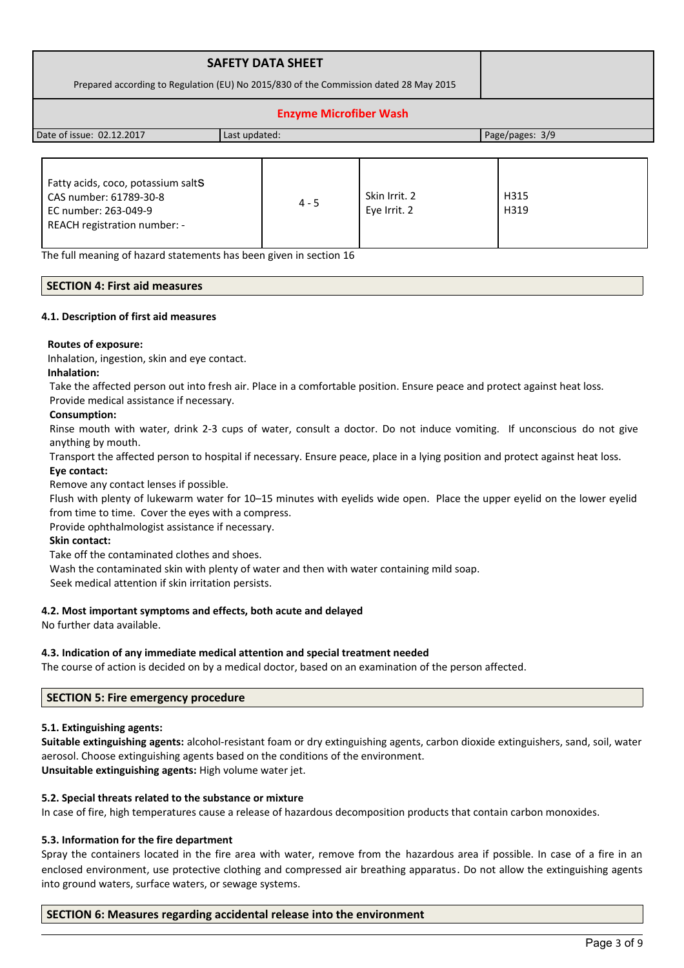| <b>SAFETY DATA SHEET</b>                                                              |  |
|---------------------------------------------------------------------------------------|--|
| Prepared according to Regulation (EU) No 2015/830 of the Commission dated 28 May 2015 |  |
| <b>Enzyme Microfiber Wash</b>                                                         |  |

Date of issue: 02.12.2017 Last updated: Page/pages: 3/9

| Fatty acids, coco, potassium saltS<br>CAS number: 61789-30-8<br>EC number: 263-049-9<br>REACH registration number: - | $4 - 5$ | Skin Irrit. 2<br>Eye Irrit. 2 | H315<br>H319 |
|----------------------------------------------------------------------------------------------------------------------|---------|-------------------------------|--------------|
|----------------------------------------------------------------------------------------------------------------------|---------|-------------------------------|--------------|

The full meaning of hazard statements has been given in section 16

# **SECTION 4: First aid measures**

### **4.1. Description of first aid measures**

### **Routes of exposure:**

Inhalation, ingestion, skin and eye contact.

### **Inhalation:**

Take the affected person out into fresh air. Place in a comfortable position. Ensure peace and protect against heat loss.

Provide medical assistance if necessary.

### **Consumption:**

Rinse mouth with water, drink 2-3 cups of water, consult a doctor. Do not induce vomiting. If unconscious do not give anything by mouth.

Transport the affected person to hospital if necessary. Ensure peace, place in a lying position and protect against heat loss.

# **Eye contact:**

Remove any contact lenses if possible.

Flush with plenty of lukewarm water for 10–15 minutes with eyelids wide open. Place the upper eyelid on the lower eyelid from time to time. Cover the eyes with a compress.

Provide ophthalmologist assistance if necessary.

### **Skin contact:**

Take off the contaminated clothes and shoes.

Wash the contaminated skin with plenty of water and then with water containing mild soap.

Seek medical attention if skin irritation persists.

### **4.2. Most important symptoms and effects, both acute and delayed**

No further data available.

### **4.3. Indication of any immediate medical attention and special treatment needed**

The course of action is decided on by a medical doctor, based on an examination of the person affected.

### **SECTION 5: Fire emergency procedure**

### **5.1. Extinguishing agents:**

**Suitable extinguishing agents:** alcohol-resistant foam or dry extinguishing agents, carbon dioxide extinguishers, sand, soil, water aerosol. Choose extinguishing agents based on the conditions of the environment. **Unsuitable extinguishing agents:** High volume water jet.

### **5.2. Special threats related to the substance or mixture**

In case of fire, high temperatures cause a release of hazardous decomposition products that contain carbon monoxides.

# **5.3. Information for the fire department**

Spray the containers located in the fire area with water, remove from the hazardous area if possible. In case of a fire in an enclosed environment, use protective clothing and compressed air breathing apparatus. Do not allow the extinguishing agents into ground waters, surface waters, or sewage systems.

### **SECTION 6: Measures regarding accidental release into the environment**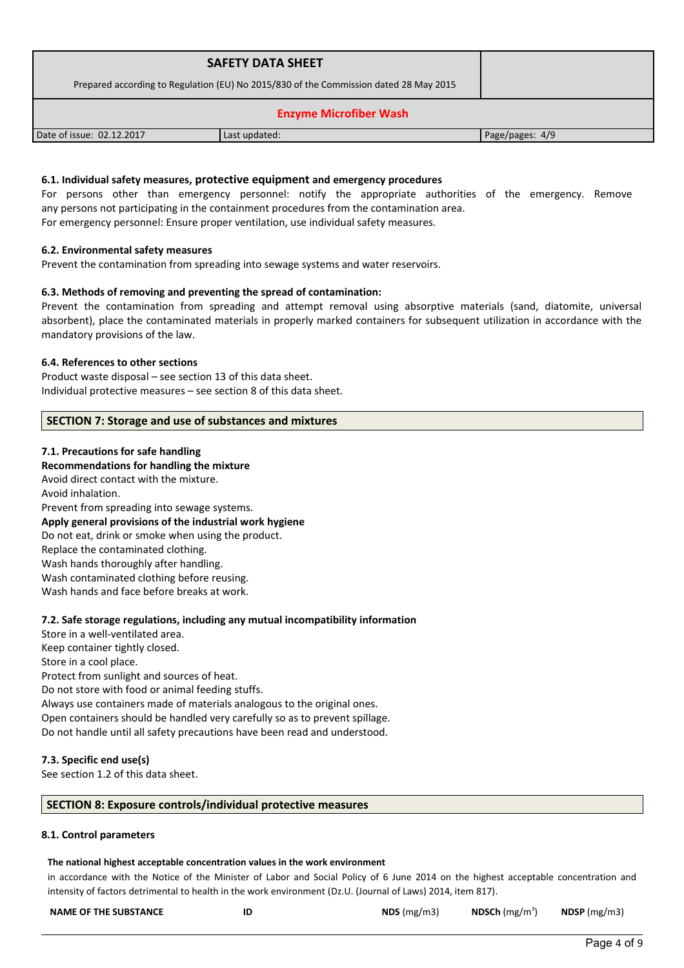| <b>SAFETY DATA SHEET</b>                                                              |               |                 |  |
|---------------------------------------------------------------------------------------|---------------|-----------------|--|
| Prepared according to Regulation (EU) No 2015/830 of the Commission dated 28 May 2015 |               |                 |  |
| <b>Enzyme Microfiber Wash</b>                                                         |               |                 |  |
| Date of issue: 02.12.2017                                                             | Last updated: | Page/pages: 4/9 |  |

### **6.1. Individual safety measures, protective equipment and emergency procedures**

For persons other than emergency personnel: notify the appropriate authorities of the emergency. Remove any persons not participating in the containment procedures from the contamination area. For emergency personnel: Ensure proper ventilation, use individual safety measures.

### **6.2. Environmental safety measures**

Prevent the contamination from spreading into sewage systems and water reservoirs.

### **6.3. Methods of removing and preventing the spread of contamination:**

Prevent the contamination from spreading and attempt removal using absorptive materials (sand, diatomite, universal absorbent), place the contaminated materials in properly marked containers for subsequent utilization in accordance with the mandatory provisions of the law.

### **6.4. References to other sections**

Product waste disposal – see section 13 of this data sheet. Individual protective measures – see section 8 of this data sheet.

# **SECTION 7: Storage and use of substances and mixtures**

### **7.1. Precautions for safe handling**

### **Recommendations for handling the mixture**

Avoid direct contact with the mixture. Avoid inhalation. Prevent from spreading into sewage systems. **Apply general provisions of the industrial work hygiene**  Do not eat, drink or smoke when using the product. Replace the contaminated clothing. Wash hands thoroughly after handling. Wash contaminated clothing before reusing. Wash hands and face before breaks at work.

### **7.2. Safe storage regulations, including any mutual incompatibility information**

Store in a well-ventilated area. Keep container tightly closed. Store in a cool place. Protect from sunlight and sources of heat. Do not store with food or animal feeding stuffs. Always use containers made of materials analogous to the original ones. Open containers should be handled very carefully so as to prevent spillage. Do not handle until all safety precautions have been read and understood.

### **7.3. Specific end use(s)**

See section 1.2 of this data sheet.

### **SECTION 8: Exposure controls/individual protective measures**

#### **8.1. Control parameters**

#### **The national highest acceptable concentration values in the work environment**

in accordance with the Notice of the Minister of Labor and Social Policy of 6 June 2014 on the highest acceptable concentration and intensity of factors detrimental to health in the work environment (Dz.U. (Journal of Laws) 2014, item 817).

| <b>NAME OF THE SUBSTANCE</b> | ID | NDS $(mg/m3)$ | <b>NDSCh</b> ( $mg/m3$ ) | NDSP (mg/m3) |
|------------------------------|----|---------------|--------------------------|--------------|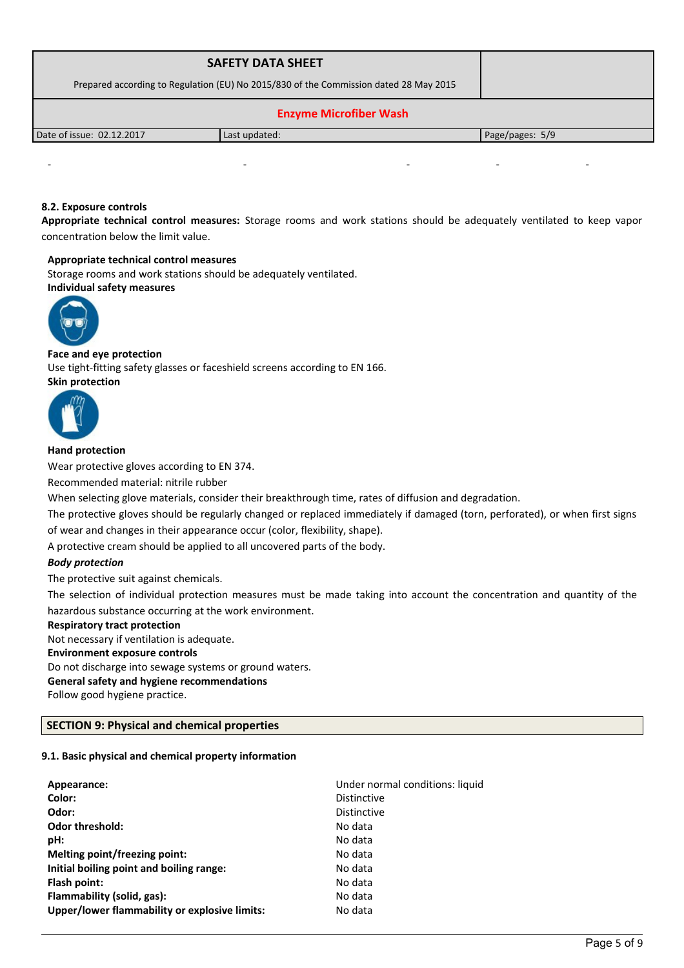| <b>SAFETY DATA SHEET</b>                                                              |               |                 |
|---------------------------------------------------------------------------------------|---------------|-----------------|
| Prepared according to Regulation (EU) No 2015/830 of the Commission dated 28 May 2015 |               |                 |
| <b>Enzyme Microfiber Wash</b>                                                         |               |                 |
| Date of issue: 02.12.2017                                                             | Last updated: | Page/pages: 5/9 |

# **8.2. Exposure controls**

**Appropriate technical control measures:** Storage rooms and work stations should be adequately ventilated to keep vapor concentration below the limit value.

- - - - -

#### **Appropriate technical control measures**

Storage rooms and work stations should be adequately ventilated. **Individual safety measures** 



### **Face and eye protection**

Use tight-fitting safety glasses or faceshield screens according to EN 166. **Skin protection** 



# **Hand protection**

Wear protective gloves according to EN 374.

Recommended material: nitrile rubber

When selecting glove materials, consider their breakthrough time, rates of diffusion and degradation.

The protective gloves should be regularly changed or replaced immediately if damaged (torn, perforated), or when first signs of wear and changes in their appearance occur (color, flexibility, shape).

A protective cream should be applied to all uncovered parts of the body.

### *Body protection*

The protective suit against chemicals.

The selection of individual protection measures must be made taking into account the concentration and quantity of the hazardous substance occurring at the work environment.

#### **Respiratory tract protection**

Not necessary if ventilation is adequate.

### **Environment exposure controls**

Do not discharge into sewage systems or ground waters.

**General safety and hygiene recommendations**

Follow good hygiene practice.

# **SECTION 9: Physical and chemical properties**

# **9.1. Basic physical and chemical property information**

| Appearance:                                   | Under normal conditions: liquid |
|-----------------------------------------------|---------------------------------|
| Color:                                        | <b>Distinctive</b>              |
| Odor:                                         | <b>Distinctive</b>              |
| Odor threshold:                               | No data                         |
| pH:                                           | No data                         |
| Melting point/freezing point:                 | No data                         |
| Initial boiling point and boiling range:      | No data                         |
| Flash point:                                  | No data                         |
| Flammability (solid, gas):                    | No data                         |
| Upper/lower flammability or explosive limits: | No data                         |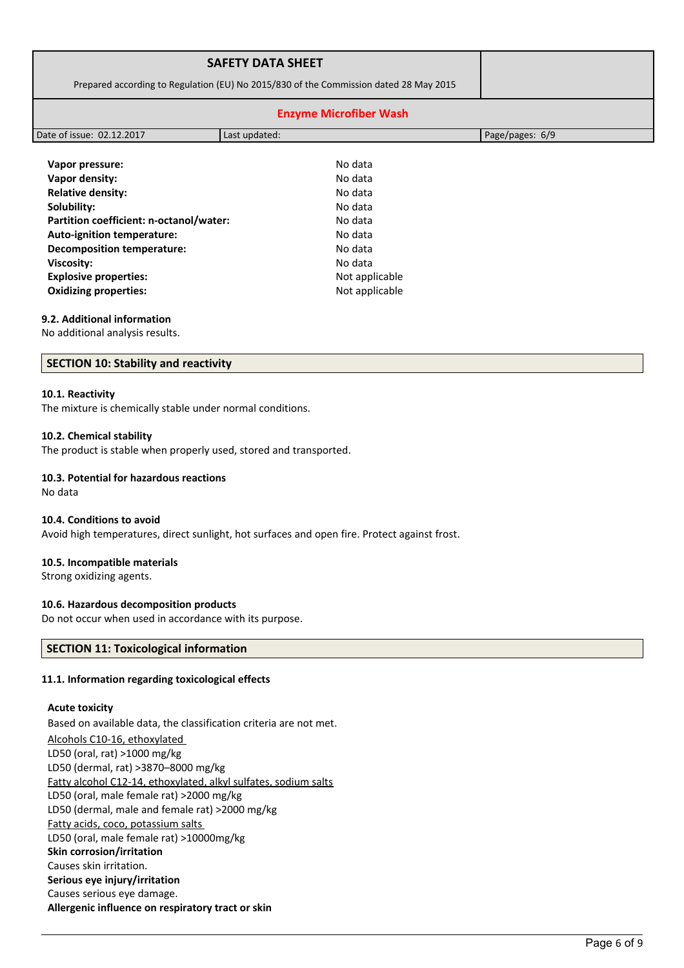|                                                                                       | <b>SAFETY DATA SHEET</b>      |                 |
|---------------------------------------------------------------------------------------|-------------------------------|-----------------|
| Prepared according to Regulation (EU) No 2015/830 of the Commission dated 28 May 2015 |                               |                 |
|                                                                                       | <b>Enzyme Microfiber Wash</b> |                 |
| Date of issue: 02.12.2017                                                             | Last updated:                 | Page/pages: 6/9 |
|                                                                                       |                               |                 |
| Vapor pressure:                                                                       | No data                       |                 |
| Vapor density:                                                                        | No data                       |                 |
| <b>Relative density:</b>                                                              | No data                       |                 |
| Solubility:                                                                           | No data                       |                 |
| Partition coefficient: n-octanol/water:                                               | No data                       |                 |

| . מו נונוטוו נטכוווטוכוונ. וו טכנמווטון Water | .              |
|-----------------------------------------------|----------------|
| <b>Auto-ignition temperature:</b>             | No data        |
| <b>Decomposition temperature:</b>             | No data        |
| Viscosity:                                    | No data        |
| <b>Explosive properties:</b>                  | Not applicable |
| <b>Oxidizing properties:</b>                  | Not applicable |
|                                               |                |

# **9.2. Additional information**

No additional analysis results.

# **SECTION 10: Stability and reactivity**

#### **10.1. Reactivity**

The mixture is chemically stable under normal conditions.

### **10.2. Chemical stability**

The product is stable when properly used, stored and transported.

# **10.3. Potential for hazardous reactions**

No data

#### **10.4. Conditions to avoid**

Avoid high temperatures, direct sunlight, hot surfaces and open fire. Protect against frost.

#### **10.5. Incompatible materials**

Strong oxidizing agents.

### **10.6. Hazardous decomposition products**

Do not occur when used in accordance with its purpose.

### **SECTION 11: Toxicological information**

### **11.1. Information regarding toxicological effects**

### **Acute toxicity**

Based on available data, the classification criteria are not met. Alcohols C10-16, ethoxylated LD50 (oral, rat) >1000 mg/kg LD50 (dermal, rat) >3870–8000 mg/kg Fatty alcohol C12-14, ethoxylated, alkyl sulfates, sodium salts LD50 (oral, male female rat) >2000 mg/kg LD50 (dermal, male and female rat) >2000 mg/kg Fatty acids, coco, potassium salts LD50 (oral, male female rat) >10000mg/kg **Skin corrosion/irritation** Causes skin irritation. **Serious eye injury/irritation** Causes serious eye damage. **Allergenic influence on respiratory tract or skin**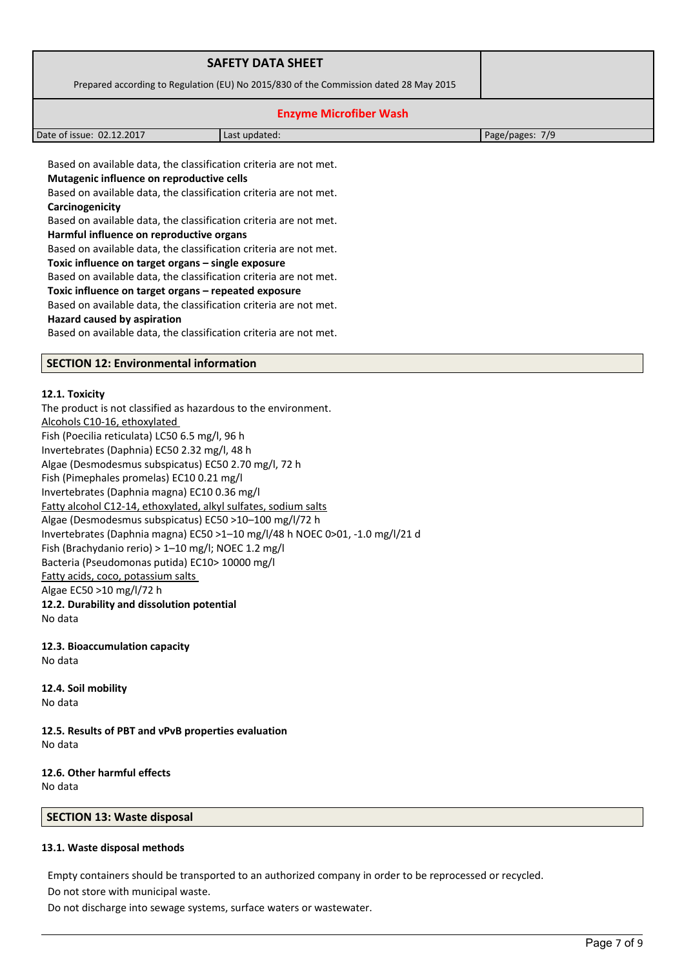| <b>SAFETY DATA SHEET</b>                                                              |               |                 |
|---------------------------------------------------------------------------------------|---------------|-----------------|
| Prepared according to Regulation (EU) No 2015/830 of the Commission dated 28 May 2015 |               |                 |
| <b>Enzyme Microfiber Wash</b>                                                         |               |                 |
| Date of issue: 02.12.2017                                                             | Last updated: | Page/pages: 7/9 |

Based on available data, the classification criteria are not met. **Mutagenic influence on reproductive cells** Based on available data, the classification criteria are not met. **Carcinogenicity** Based on available data, the classification criteria are not met. **Harmful influence on reproductive organs** Based on available data, the classification criteria are not met. **Toxic influence on target organs – single exposure** Based on available data, the classification criteria are not met. **Toxic influence on target organs – repeated exposure** Based on available data, the classification criteria are not met. **Hazard caused by aspiration**

Based on available data, the classification criteria are not met.

### **SECTION 12: Environmental information**

#### **12.1. Toxicity**

The product is not classified as hazardous to the environment. Alcohols C10-16, ethoxylated Fish (Poecilia reticulata) LC50 6.5 mg/l, 96 h Invertebrates (Daphnia) EC50 2.32 mg/l, 48 h Algae (Desmodesmus subspicatus) EC50 2.70 mg/l, 72 h Fish (Pimephales promelas) EC10 0.21 mg/l Invertebrates (Daphnia magna) EC10 0.36 mg/l Fatty alcohol C12-14, ethoxylated, alkyl sulfates, sodium salts Algae (Desmodesmus subspicatus) EC50 >10–100 mg/l/72 h Invertebrates (Daphnia magna) EC50 >1–10 mg/l/48 h NOEC 0>01, -1.0 mg/l/21 d Fish (Brachydanio rerio) > 1–10 mg/l; NOEC 1.2 mg/l Bacteria (Pseudomonas putida) EC10> 10000 mg/l Fatty acids, coco, potassium salts Algae EC50 >10 mg/l/72 h **12.2. Durability and dissolution potential** No data

**12.3. Bioaccumulation capacity** No data

**12.4. Soil mobility** No data

**12.5. Results of PBT and vPvB properties evaluation** No data

**12.6. Other harmful effects** No data

#### **SECTION 13: Waste disposal**

#### **13.1. Waste disposal methods**

Empty containers should be transported to an authorized company in order to be reprocessed or recycled. Do not store with municipal waste.

Do not discharge into sewage systems, surface waters or wastewater.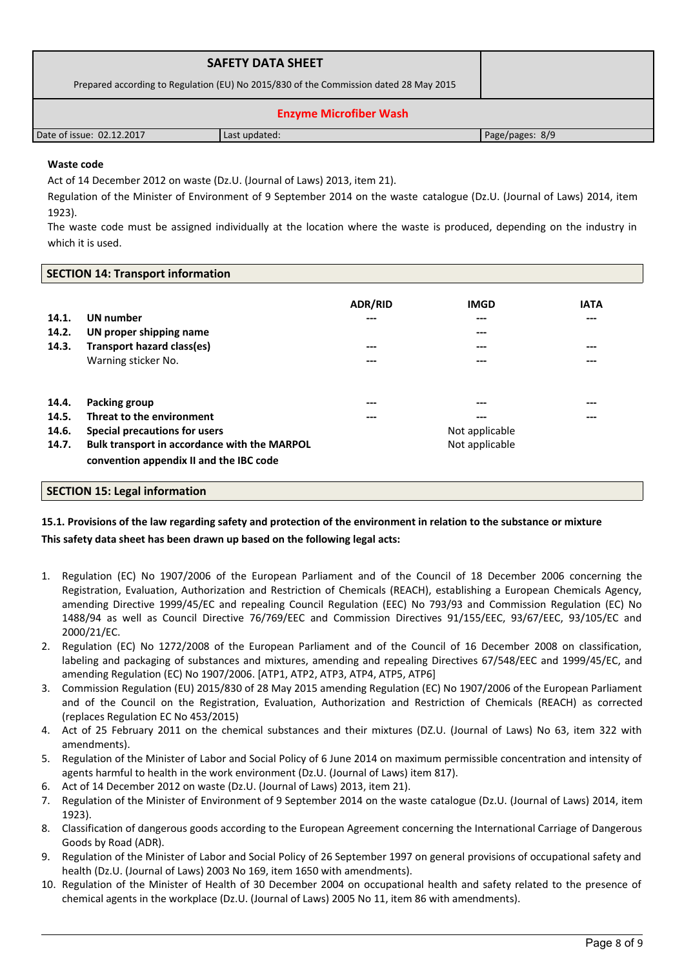| <b>SAFETY DATA SHEET</b><br>Prepared according to Regulation (EU) No 2015/830 of the Commission dated 28 May 2015 |               |                 |  |  |  |
|-------------------------------------------------------------------------------------------------------------------|---------------|-----------------|--|--|--|
| <b>Enzyme Microfiber Wash</b>                                                                                     |               |                 |  |  |  |
| Date of issue: 02.12.2017                                                                                         | Last updated: | Page/pages: 8/9 |  |  |  |

# **Waste code**

Act of 14 December 2012 on waste (Dz.U. (Journal of Laws) 2013, item 21).

Regulation of the Minister of Environment of 9 September 2014 on the waste catalogue (Dz.U. (Journal of Laws) 2014, item 1923).

The waste code must be assigned individually at the location where the waste is produced, depending on the industry in which it is used.

| <b>SECTION 14: Transport information</b> |                                              |                |             |             |  |
|------------------------------------------|----------------------------------------------|----------------|-------------|-------------|--|
|                                          |                                              | <b>ADR/RID</b> | <b>IMGD</b> | <b>IATA</b> |  |
| 14.1.                                    | <b>UN</b> number                             | ---            | $---$       | ---         |  |
| 14.2.                                    | UN proper shipping name                      |                | $---$       |             |  |
| 14.3.                                    | Transport hazard class(es)                   | ---            | $---$       | $---$       |  |
|                                          | Warning sticker No.                          | ---            | ---         | ---         |  |
| 14.4.                                    | Packing group                                | ---            |             | ---         |  |
| 14.5.                                    | Threat to the environment                    | ---            | ---         | ---         |  |
| 14.6.                                    | Special precautions for users                | Not applicable |             |             |  |
| 14.7.                                    | Bulk transport in accordance with the MARPOL | Not applicable |             |             |  |
|                                          | convention appendix II and the IBC code      |                |             |             |  |

### **SECTION 15: Legal information**

# **15.1. Provisions of the law regarding safety and protection of the environment in relation to the substance or mixture This safety data sheet has been drawn up based on the following legal acts:**

- 1. Regulation (EC) No 1907/2006 of the European Parliament and of the Council of 18 December 2006 concerning the Registration, Evaluation, Authorization and Restriction of Chemicals (REACH), establishing a European Chemicals Agency, amending Directive 1999/45/EC and repealing Council Regulation (EEC) No 793/93 and Commission Regulation (EC) No 1488/94 as well as Council Directive 76/769/EEC and Commission Directives 91/155/EEC, 93/67/EEC, 93/105/EC and 2000/21/EC.
- 2. Regulation (EC) No 1272/2008 of the European Parliament and of the Council of 16 December 2008 on classification, labeling and packaging of substances and mixtures, amending and repealing Directives 67/548/EEC and 1999/45/EC, and amending Regulation (EC) No 1907/2006. [ATP1, ATP2, ATP3, ATP4, ATP5, ATP6]
- 3. Commission Regulation (EU) 2015/830 of 28 May 2015 amending Regulation (EC) No 1907/2006 of the European Parliament and of the Council on the Registration, Evaluation, Authorization and Restriction of Chemicals (REACH) as corrected (replaces Regulation EC No 453/2015)
- 4. Act of 25 February 2011 on the chemical substances and their mixtures (DZ.U. (Journal of Laws) No 63, item 322 with amendments).
- 5. Regulation of the Minister of Labor and Social Policy of 6 June 2014 on maximum permissible concentration and intensity of agents harmful to health in the work environment (Dz.U. (Journal of Laws) item 817).
- 6. Act of 14 December 2012 on waste (Dz.U. (Journal of Laws) 2013, item 21).
- 7. Regulation of the Minister of Environment of 9 September 2014 on the waste catalogue (Dz.U. (Journal of Laws) 2014, item 1923).
- 8. Classification of dangerous goods according to the European Agreement concerning the International Carriage of Dangerous Goods by Road (ADR).
- 9. Regulation of the Minister of Labor and Social Policy of 26 September 1997 on general provisions of occupational safety and health (Dz.U. (Journal of Laws) 2003 No 169, item 1650 with amendments).
- 10. Regulation of the Minister of Health of 30 December 2004 on occupational health and safety related to the presence of chemical agents in the workplace (Dz.U. (Journal of Laws) 2005 No 11, item 86 with amendments).